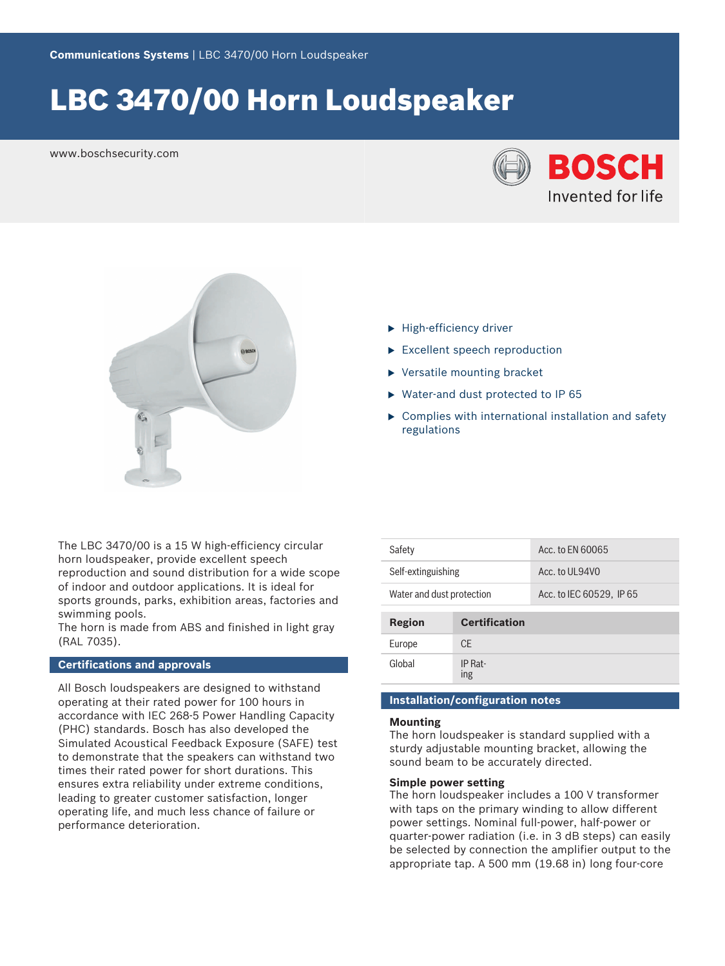# LBC 3470/00 Horn Loudspeaker

www.boschsecurity.com





- $\blacktriangleright$  High-efficiency driver
- $\blacktriangleright$  Excellent speech reproduction
- $\blacktriangleright$  Versatile mounting bracket
- $\triangleright$  Water-and dust protected to IP 65
- $\triangleright$  Complies with international installation and safety regulations

The LBC 3470/00 is a 15 W high-efficiency circular horn loudspeaker, provide excellent speech reproduction and sound distribution for a wide scope of indoor and outdoor applications. It is ideal for sports grounds, parks, exhibition areas, factories and swimming pools.

The horn is made from ABS and finished in light gray (RAL 7035).

#### **Certifications and approvals**

All Bosch loudspeakers are designed to withstand operating at their rated power for 100 hours in accordance with IEC 268-5 Power Handling Capacity (PHC) standards. Bosch has also developed the Simulated Acoustical Feedback Exposure (SAFE) test to demonstrate that the speakers can withstand two times their rated power for short durations. This ensures extra reliability under extreme conditions, leading to greater customer satisfaction, longer operating life, and much less chance of failure or performance deterioration.

| Safety                    |                      | Acc. to EN 60065         |  |  |
|---------------------------|----------------------|--------------------------|--|--|
| Self-extinguishing        |                      | Acc. to UL94V0           |  |  |
| Water and dust protection |                      | Acc. to IEC 60529, IP 65 |  |  |
|                           |                      |                          |  |  |
|                           |                      |                          |  |  |
| Region                    | <b>Certification</b> |                          |  |  |
| Europe                    | CF.                  |                          |  |  |

#### **Installation/configuration notes**

#### **Mounting**

The horn loudspeaker is standard supplied with a sturdy adjustable mounting bracket, allowing the sound beam to be accurately directed.

#### **Simple power setting**

The horn loudspeaker includes a 100 V transformer with taps on the primary winding to allow different power settings. Nominal full‑power, half‑power or quarter‑power radiation (i.e. in 3 dB steps) can easily be selected by connection the amplifier output to the appropriate tap. A 500 mm (19.68 in) long four-core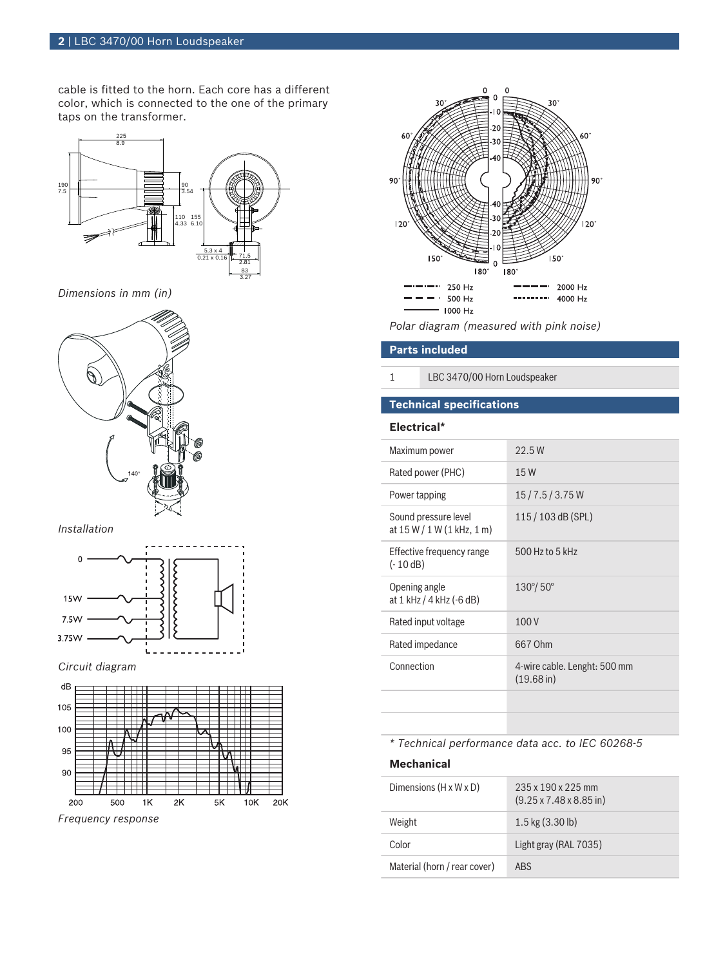cable is fitted to the horn. Each core has a different color, which is connected to the one of the primary taps on the transformer.



*Dimensions in mm (in)*



#### *Installation*



#### *Circuit diagram*



*Frequency response*



*Polar diagram (measured with pink noise)*

#### **Parts included**

1 LBC 3470/00 Horn Loudspeaker

### **Technical specifications**

#### **Electrical\***

| Maximum power                                        | 22.5W                                                |
|------------------------------------------------------|------------------------------------------------------|
| Rated power (PHC)                                    | 15W                                                  |
| Power tapping                                        | 15/7.5/3.75W                                         |
| Sound pressure level<br>at $15 W / 1 W (1 kHz, 1 m)$ | $115/103$ dB (SPL)                                   |
| Effective frequency range<br>$(-10dB)$               | 500 Hz to 5 kHz                                      |
| Opening angle<br>at 1 kHz / 4 kHz (-6 dB)            | $130^{\circ}/ 50^{\circ}$                            |
| Rated input voltage                                  | 100V                                                 |
| Rated impedance                                      | 667 Ohm                                              |
| Connection                                           | 4-wire cable. Lenght: 500 mm<br>$(19.68 \text{ in})$ |
|                                                      |                                                      |
|                                                      |                                                      |

#### *\* Technical performance data acc. to IEC 60268-5*

#### **Mechanical**

| Dimensions (H x W x D)       | $235 \times 190 \times 225$ mm<br>$(9.25 \times 7.48 \times 8.85)$ in) |
|------------------------------|------------------------------------------------------------------------|
| Weight                       | $1.5$ kg $(3.30$ lb)                                                   |
| Color                        | Light gray (RAL 7035)                                                  |
| Material (horn / rear cover) | ABS                                                                    |